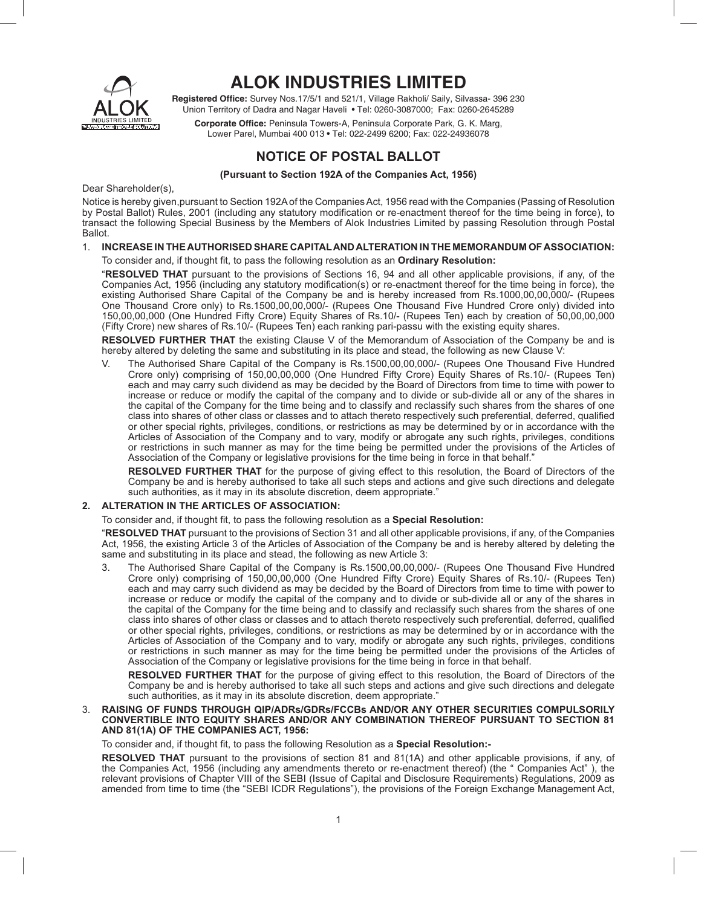

# **ALOK INDUSTRIES LIMITED**

Registered Office: Survey Nos.17/5/1 and 521/1, Village Rakholi/ Saily, Silvassa- 396 230 Union Territory of Dadra and Nagar Haveli • Tel: 0260-3087000; Fax: 0260-2645289

Corporate Office: Peninsula Towers-A, Peninsula Corporate Park, G. K. Marg, Lower Parel, Mumbai 400 013 • Tel: 022-2499 6200; Fax: 022-24936078

## **NOTICE OF POSTAL BALLOT**

**(Pursuant to Section 192A of the Companies Act, 1956)**

Dear Shareholder(s),

Notice is hereby given,pursuant to Section 192A of the Companies Act, 1956 read with the Companies (Passing of Resolution by Postal Ballot) Rules, 2001 (including any statutory modification or re-enactment thereof for the time being in force), to transact the following Special Business by the Members of Alok Industries Limited by passing Resolution through Postal Ballot.

### 1. **INCREASE IN THE AUTHORISED SHARE CAPITAL AND ALTERATION IN THE MEMORANDUM OF ASSOCIATION:**

#### To consider and, if thought fit, to pass the following resolution as an **Ordinary Resolution:**

 "**RESOLVED THAT** pursuant to the provisions of Sections 16, 94 and all other applicable provisions, if any, of the Companies Act, 1956 (including any statutory modification(s) or re-enactment thereof for the time being in force), the existing Authorised Share Capital of the Company be and is hereby increased from Rs.1000,00,00,000/- (Rupees One Thousand Crore only) to Rs.1500,00,00,000/- (Rupees One Thousand Five Hundred Crore only) divided into 150,00,00,000 (One Hundred Fifty Crore) Equity Shares of Rs.10/- (Rupees Ten) each by creation of 50,00,00,000 (Fifty Crore) new shares of Rs.10/- (Rupees Ten) each ranking pari-passu with the existing equity shares.

**RESOLVED FURTHER THAT** the existing Clause V of the Memorandum of Association of the Company be and is hereby altered by deleting the same and substituting in its place and stead, the following as new Clause V:

 V. The Authorised Share Capital of the Company is Rs.1500,00,00,000/- (Rupees One Thousand Five Hundred Crore only) comprising of 150,00,00,000 (One Hundred Fifty Crore) Equity Shares of Rs.10/- (Rupees Ten) each and may carry such dividend as may be decided by the Board of Directors from time to time with power to increase or reduce or modify the capital of the company and to divide or sub-divide all or any of the shares in the capital of the Company for the time being and to classify and reclassify such shares from the shares of one class into shares of other class or classes and to attach thereto respectively such preferential, deferred, qualified or other special rights, privileges, conditions, or restrictions as may be determined by or in accordance with the Articles of Association of the Company and to vary, modify or abrogate any such rights, privileges, conditions or restrictions in such manner as may for the time being be permitted under the provisions of the Articles of Association of the Company or legislative provisions for the time being in force in that behalf."

 **RESOLVED FURTHER THAT** for the purpose of giving effect to this resolution, the Board of Directors of the Company be and is hereby authorised to take all such steps and actions and give such directions and delegate such authorities, as it may in its absolute discretion, deem appropriate."

## **2. ALTERATION IN THE ARTICLES OF ASSOCIATION:**

To consider and, if thought fit, to pass the following resolution as a **Special Resolution:** 

 "**RESOLVED THAT** pursuant to the provisions of Section 31 and all other applicable provisions, if any, of the Companies Act, 1956, the existing Article 3 of the Articles of Association of the Company be and is hereby altered by deleting the same and substituting in its place and stead, the following as new Article 3:

The Authorised Share Capital of the Company is Rs.1500,00,00,000/- (Rupees One Thousand Five Hundred Crore only) comprising of 150,00,00,000 (One Hundred Fifty Crore) Equity Shares of Rs.10/- (Rupees Ten) each and may carry such dividend as may be decided by the Board of Directors from time to time with power to increase or reduce or modify the capital of the company and to divide or sub-divide all or any of the shares in the capital of the Company for the time being and to classify and reclassify such shares from the shares of one class into shares of other class or classes and to attach thereto respectively such preferential, deferred, qualified or other special rights, privileges, conditions, or restrictions as may be determined by or in accordance with the Articles of Association of the Company and to vary, modify or abrogate any such rights, privileges, conditions or restrictions in such manner as may for the time being be permitted under the provisions of the Articles of Association of the Company or legislative provisions for the time being in force in that behalf.

 **RESOLVED FURTHER THAT** for the purpose of giving effect to this resolution, the Board of Directors of the Company be and is hereby authorised to take all such steps and actions and give such directions and delegate such authorities, as it may in its absolute discretion, deem appropriate."

#### 3. **RAISING OF FUNDS THROUGH QIP/ADRs/GDRs/FCCBs AND/OR ANY OTHER SECURITIES COMPULSORILY CONVERTIBLE INTO EQUITY SHARES AND/OR ANY COMBINATION THEREOF PURSUANT TO SECTION 81 AND 81(1A) OF THE COMPANIES ACT, 1956:**

To consider and, if thought fit, to pass the following Resolution as a **Special Resolution:-**

 **RESOLVED THAT** pursuant to the provisions of section 81 and 81(1A) and other applicable provisions, if any, of the Companies Act, 1956 (including any amendments thereto or re-enactment thereof) (the " Companies Act" ), the relevant provisions of Chapter VIII of the SEBI (Issue of Capital and Disclosure Requirements) Regulations, 2009 as amended from time to time (the "SEBI ICDR Regulations"), the provisions of the Foreign Exchange Management Act,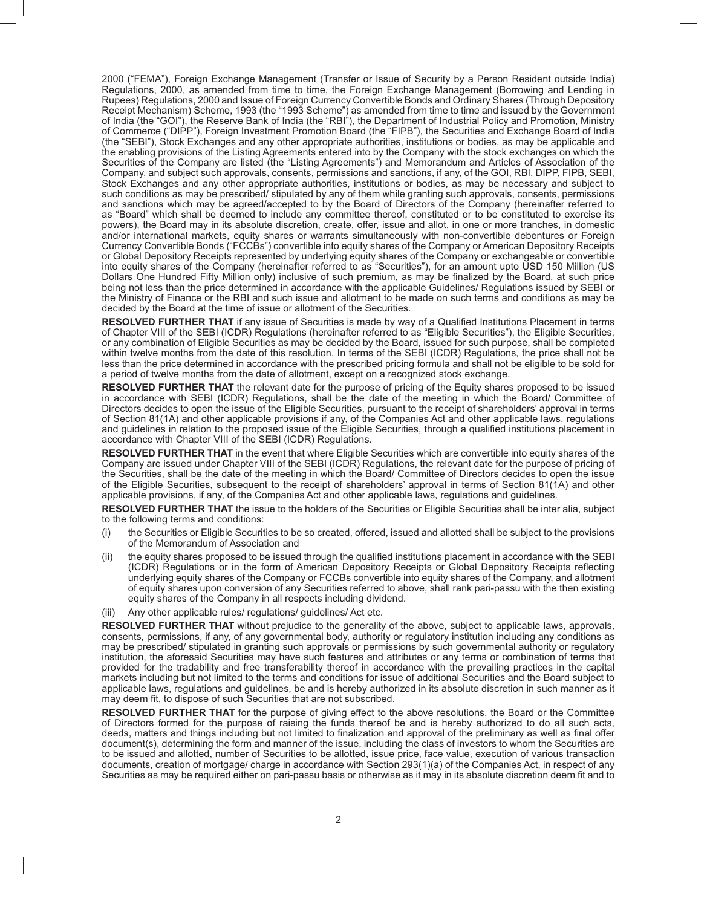2000 ("FEMA"), Foreign Exchange Management (Transfer or Issue of Security by a Person Resident outside India) Regulations, 2000, as amended from time to time, the Foreign Exchange Management (Borrowing and Lending in Rupees) Regulations, 2000 and Issue of Foreign Currency Convertible Bonds and Ordinary Shares (Through Depository Receipt Mechanism) Scheme, 1993 (the "1993 Scheme") as amended from time to time and issued by the Government of India (the "GOI"), the Reserve Bank of India (the "RBI"), the Department of Industrial Policy and Promotion, Ministry of Commerce ("DIPP"), Foreign Investment Promotion Board (the "FIPB"), the Securities and Exchange Board of India (the "SEBI"), Stock Exchanges and any other appropriate authorities, institutions or bodies, as may be applicable and the enabling provisions of the Listing Agreements entered into by the Company with the stock exchanges on which the Securities of the Company are listed (the "Listing Agreements") and Memorandum and Articles of Association of the Company, and subject such approvals, consents, permissions and sanctions, if any, of the GOI, RBI, DIPP, FIPB, SEBI, Stock Exchanges and any other appropriate authorities, institutions or bodies, as may be necessary and subject to such conditions as may be prescribed/ stipulated by any of them while granting such approvals, consents, permissions and sanctions which may be agreed/accepted to by the Board of Directors of the Company (hereinafter referred to as "Board" which shall be deemed to include any committee thereof, constituted or to be constituted to exercise its powers), the Board may in its absolute discretion, create, offer, issue and allot, in one or more tranches, in domestic and/or international markets, equity shares or warrants simultaneously with non-convertible debentures or Foreign Currency Convertible Bonds ("FCCBs") convertible into equity shares of the Company or American Depository Receipts or Global Depository Receipts represented by underlying equity shares of the Company or exchangeable or convertible into equity shares of the Company (hereinafter referred to as "Securities"), for an amount upto USD 150 Million (US Dollars One Hundred Fifty Million only) inclusive of such premium, as may be finalized by the Board, at such price being not less than the price determined in accordance with the applicable Guidelines/ Regulations issued by SEBI or the Ministry of Finance or the RBI and such issue and allotment to be made on such terms and conditions as may be decided by the Board at the time of issue or allotment of the Securities.

**RESOLVED FURTHER THAT** if any issue of Securities is made by way of a Qualified Institutions Placement in terms of Chapter VIII of the SEBI (ICDR) Regulations (hereinafter referred to as "Eligible Securities"), the Eligible Securities, or any combination of Eligible Securities as may be decided by the Board, issued for such purpose, shall be completed within twelve months from the date of this resolution. In terms of the SEBI (ICDR) Regulations, the price shall not be less than the price determined in accordance with the prescribed pricing formula and shall not be eligible to be sold for a period of twelve months from the date of allotment, except on a recognized stock exchange.

**RESOLVED FURTHER THAT** the relevant date for the purpose of pricing of the Equity shares proposed to be issued in accordance with SEBI (ICDR) Regulations, shall be the date of the meeting in which the Board/ Committee of Directors decides to open the issue of the Eligible Securities, pursuant to the receipt of shareholders' approval in terms of Section 81(1A) and other applicable provisions if any, of the Companies Act and other applicable laws, regulations and guidelines in relation to the proposed issue of the Eligible Securities, through a qualified institutions placement in accordance with Chapter VIII of the SEBI (ICDR) Regulations.

 **RESOLVED FURTHER THAT** in the event that where Eligible Securities which are convertible into equity shares of the Company are issued under Chapter VIII of the SEBI (ICDR) Regulations, the relevant date for the purpose of pricing of the Securities, shall be the date of the meeting in which the Board/ Committee of Directors decides to open the issue of the Eligible Securities, subsequent to the receipt of shareholders' approval in terms of Section 81(1A) and other applicable provisions, if any, of the Companies Act and other applicable laws, regulations and guidelines.

**RESOLVED FURTHER THAT** the issue to the holders of the Securities or Eligible Securities shall be inter alia, subject to the following terms and conditions:

- (i) the Securities or Eligible Securities to be so created, offered, issued and allotted shall be subject to the provisions of the Memorandum of Association and
- (ii) the equity shares proposed to be issued through the qualified institutions placement in accordance with the SEBI (ICDR) Regulations or in the form of American Depository Receipts or Global Depository Receipts reflecting underlying equity shares of the Company or FCCBs convertible into equity shares of the Company, and allotment of equity shares upon conversion of any Securities referred to above, shall rank pari-passu with the then existing equity shares of the Company in all respects including dividend.
- (iii) Any other applicable rules/ regulations/ guidelines/ Act etc.

**RESOLVED FURTHER THAT** without prejudice to the generality of the above, subject to applicable laws, approvals, consents, permissions, if any, of any governmental body, authority or regulatory institution including any conditions as may be prescribed/ stipulated in granting such approvals or permissions by such governmental authority or regulatory institution, the aforesaid Securities may have such features and attributes or any terms or combination of terms that provided for the tradability and free transferability thereof in accordance with the prevailing practices in the capital markets including but not limited to the terms and conditions for issue of additional Securities and the Board subject to applicable laws, regulations and guidelines, be and is hereby authorized in its absolute discretion in such manner as it may deem fit, to dispose of such Securities that are not subscribed.

**RESOLVED FURTHER THAT** for the purpose of giving effect to the above resolutions, the Board or the Committee of Directors formed for the purpose of raising the funds thereof be and is hereby authorized to do all such acts, deeds, matters and things including but not limited to finalization and approval of the preliminary as well as final offer document(s), determining the form and manner of the issue, including the class of investors to whom the Securities are to be issued and allotted, number of Securities to be allotted, issue price, face value, execution of various transaction documents, creation of mortgage/ charge in accordance with Section 293(1)(a) of the Companies Act, in respect of any Securities as may be required either on pari-passu basis or otherwise as it may in its absolute discretion deem fit and to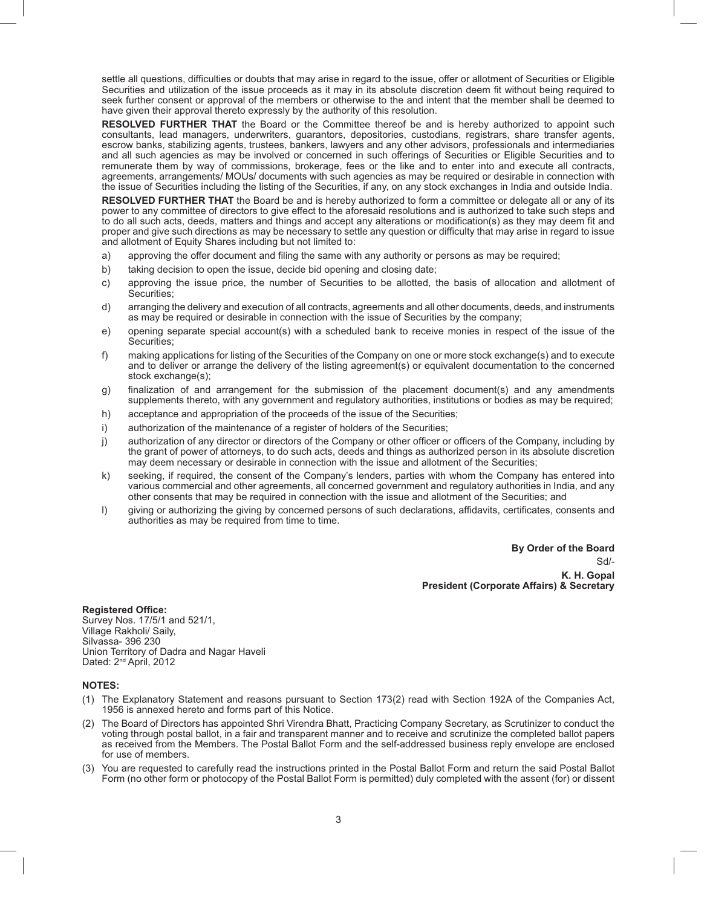settle all questions, difficulties or doubts that may arise in regard to the issue, offer or allotment of Securities or Eligible Securities and utilization of the issue proceeds as it may in its absolute discretion deem fi t without being required to seek further consent or approval of the members or otherwise to the and intent that the member shall be deemed to have given their approval thereto expressly by the authority of this resolution.

**RESOLVED FURTHER THAT** the Board or the Committee thereof be and is hereby authorized to appoint such consultants, lead managers, underwriters, guarantors, depositories, custodians, registrars, share transfer agents, escrow banks, stabilizing agents, trustees, bankers, lawyers and any other advisors, professionals and intermediaries and all such agencies as may be involved or concerned in such offerings of Securities or Eligible Securities and to remunerate them by way of commissions, brokerage, fees or the like and to enter into and execute all contracts, agreements, arrangements/ MOUs/ documents with such agencies as may be required or desirable in connection with the issue of Securities including the listing of the Securities, if any, on any stock exchanges in India and outside India.

 **RESOLVED FURTHER THAT** the Board be and is hereby authorized to form a committee or delegate all or any of its power to any committee of directors to give effect to the aforesaid resolutions and is authorized to take such steps and to do all such acts, deeds, matters and things and accept any alterations or modification(s) as they may deem fit and proper and give such directions as may be necessary to settle any question or difficulty that may arise in regard to issue and allotment of Equity Shares including but not limited to:

- a) approving the offer document and filing the same with any authority or persons as may be required;
- b) taking decision to open the issue, decide bid opening and closing date;
- c) approving the issue price, the number of Securities to be allotted, the basis of allocation and allotment of Securities;
- d) arranging the delivery and execution of all contracts, agreements and all other documents, deeds, and instruments as may be required or desirable in connection with the issue of Securities by the company;
- e) opening separate special account(s) with a scheduled bank to receive monies in respect of the issue of the Securities;
- f) making applications for listing of the Securities of the Company on one or more stock exchange(s) and to execute and to deliver or arrange the delivery of the listing agreement(s) or equivalent documentation to the concerned stock exchange(s);
- g) finalization of and arrangement for the submission of the placement document(s) and any amendments supplements thereto, with any government and regulatory authorities, institutions or bodies as may be required;
- h) acceptance and appropriation of the proceeds of the issue of the Securities;
- i) authorization of the maintenance of a register of holders of the Securities;
- j) authorization of any director or directors of the Company or other officer or officers of the Company, including by the grant of power of attorneys, to do such acts, deeds and things as authorized person in its absolute discretion may deem necessary or desirable in connection with the issue and allotment of the Securities;
- k) seeking, if required, the consent of the Company's lenders, parties with whom the Company has entered into various commercial and other agreements, all concerned government and regulatory authorities in India, and any other consents that may be required in connection with the issue and allotment of the Securities; and
- l) giving or authorizing the giving by concerned persons of such declarations, affidavits, certificates, consents and authorities as may be required from time to time.

**By Order of the Board** Sd/- **K. H. Gopal President (Corporate Affairs) & Secretary**

**Registered Office:** Survey Nos. 17/5/1 and 521/1, Village Rakholi/ Saily, Silvassa- 396 230 Union Territory of Dadra and Nagar Haveli Dated: 2<sup>nd</sup> April, 2012

### **NOTES:**

- (1) The Explanatory Statement and reasons pursuant to Section 173(2) read with Section 192A of the Companies Act, 1956 is annexed hereto and forms part of this Notice.
- (2) The Board of Directors has appointed Shri Virendra Bhatt, Practicing Company Secretary, as Scrutinizer to conduct the voting through postal ballot, in a fair and transparent manner and to receive and scrutinize the completed ballot papers as received from the Members. The Postal Ballot Form and the self-addressed business reply envelope are enclosed for use of members.
- (3) You are requested to carefully read the instructions printed in the Postal Ballot Form and return the said Postal Ballot Form (no other form or photocopy of the Postal Ballot Form is permitted) duly completed with the assent (for) or dissent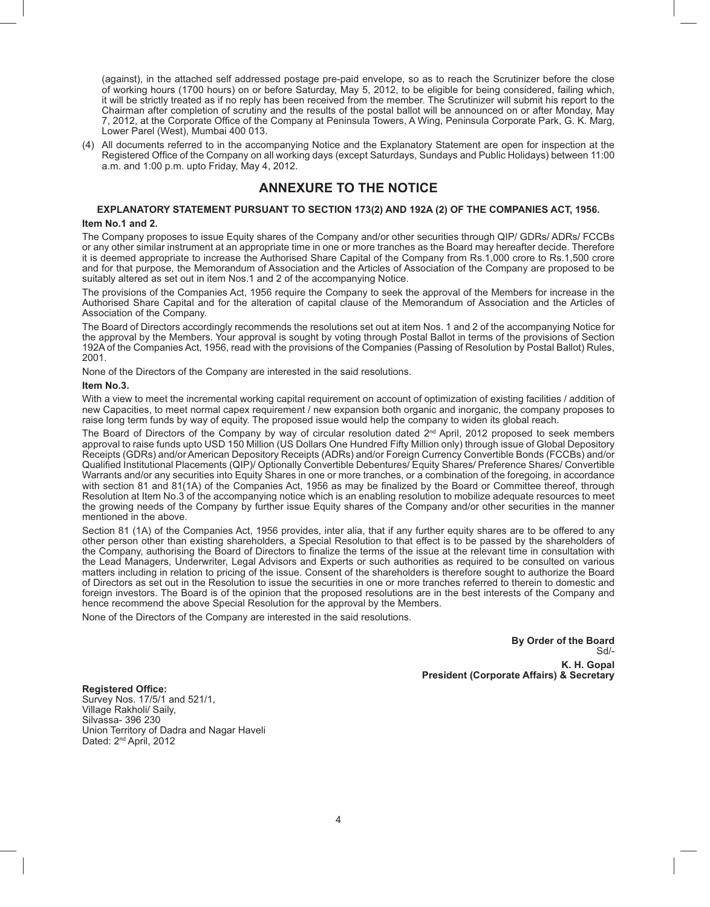(against), in the attached self addressed postage pre-paid envelope, so as to reach the Scrutinizer before the close of working hours (1700 hours) on or before Saturday, May 5, 2012, to be eligible for being considered, failing which, it will be strictly treated as if no reply has been received from the member. The Scrutinizer will submit his report to the Chairman after completion of scrutiny and the results of the postal ballot will be announced on or after Monday, May 7, 2012, at the Corporate Office of the Company at Peninsula Towers, A Wing, Peninsula Corporate Park, G. K. Marg, Lower Parel (West), Mumbai 400 013.

(4) All documents referred to in the accompanying Notice and the Explanatory Statement are open for inspection at the Registered Office of the Company on all working days (except Saturdays, Sundays and Public Holidays) between 11:00 a.m. and 1:00 p.m. upto Friday, May 4, 2012.

## **ANNEXURE TO THE NOTICE**

## **EXPLANATORY STATEMENT PURSUANT TO SECTION 173(2) AND 192A (2) OF THE COMPANIES ACT, 1956.**

#### **Item No.1 and 2.**

The Company proposes to issue Equity shares of the Company and/or other securities through QIP/ GDRs/ ADRs/ FCCBs or any other similar instrument at an appropriate time in one or more tranches as the Board may hereafter decide. Therefore it is deemed appropriate to increase the Authorised Share Capital of the Company from Rs.1,000 crore to Rs.1,500 crore and for that purpose, the Memorandum of Association and the Articles of Association of the Company are proposed to be suitably altered as set out in item Nos.1 and 2 of the accompanying Notice.

The provisions of the Companies Act, 1956 require the Company to seek the approval of the Members for increase in the Authorised Share Capital and for the alteration of capital clause of the Memorandum of Association and the Articles of Association of the Company.

The Board of Directors accordingly recommends the resolutions set out at item Nos. 1 and 2 of the accompanying Notice for the approval by the Members. Your approval is sought by voting through Postal Ballot in terms of the provisions of Section 192A of the Companies Act, 1956, read with the provisions of the Companies (Passing of Resolution by Postal Ballot) Rules, 2001.

None of the Directors of the Company are interested in the said resolutions.

#### **Item No.3.**

With a view to meet the incremental working capital requirement on account of optimization of existing facilities / addition of new Capacities, to meet normal capex requirement / new expansion both organic and inorganic, the company proposes to raise long term funds by way of equity. The proposed issue would help the company to widen its global reach.

The Board of Directors of the Company by way of circular resolution dated 2<sup>nd</sup> April, 2012 proposed to seek members approval to raise funds upto USD 150 Million (US Dollars One Hundred Fifty Million only) through issue of Global Depository Receipts (GDRs) and/or American Depository Receipts (ADRs) and/or Foreign Currency Convertible Bonds (FCCBs) and/or Qualified Institutional Placements (QIP)/ Optionally Convertible Debentures/ Equity Shares/ Preference Shares/ Convertible Warrants and/or any securities into Equity Shares in one or more tranches, or a combination of the foregoing, in accordance with section 81 and 81(1A) of the Companies Act, 1956 as may be finalized by the Board or Committee thereof, through Resolution at Item No.3 of the accompanying notice which is an enabling resolution to mobilize adequate resources to meet the growing needs of the Company by further issue Equity shares of the Company and/or other securities in the manner mentioned in the above.

Section 81 (1A) of the Companies Act, 1956 provides, inter alia, that if any further equity shares are to be offered to any other person other than existing shareholders, a Special Resolution to that effect is to be passed by the shareholders of the Company, authorising the Board of Directors to finalize the terms of the issue at the relevant time in consultation with the Lead Managers, Underwriter, Legal Advisors and Experts or such authorities as required to be consulted on various matters including in relation to pricing of the issue. Consent of the shareholders is therefore sought to authorize the Board of Directors as set out in the Resolution to issue the securities in one or more tranches referred to therein to domestic and foreign investors. The Board is of the opinion that the proposed resolutions are in the best interests of the Company and hence recommend the above Special Resolution for the approval by the Members.

None of the Directors of the Company are interested in the said resolutions.

**By Order of the Board** Sd/- **K. H. Gopal President (Corporate Affairs) & Secretary**

**Registered Office:** Survey Nos. 17/5/1 and 521/1, Village Rakholi/ Saily, Silvassa- 396 230 Union Territory of Dadra and Nagar Haveli Dated: 2<sup>nd</sup> April, 2012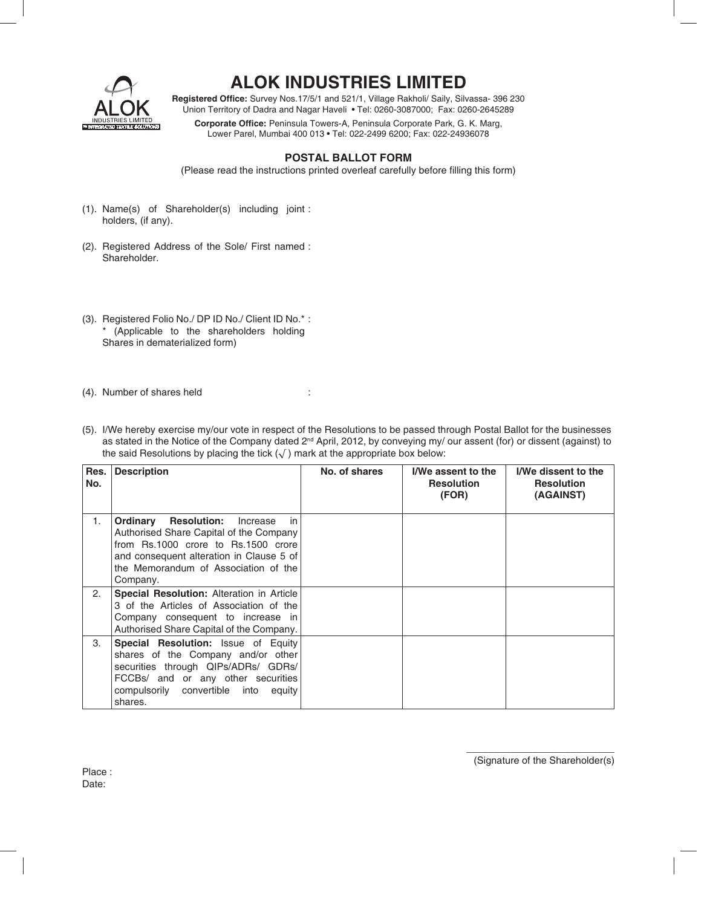

# **ALOK INDUSTRIES LIMITED**

Registered Office: Survey Nos.17/5/1 and 521/1, Village Rakholi/ Saily, Silvassa- 396 230 Union Territory of Dadra and Nagar Haveli • Tel: 0260-3087000; Fax: 0260-2645289

Corporate Office: Peninsula Towers-A, Peninsula Corporate Park, G. K. Marg, Lower Parel, Mumbai 400 013 • Tel: 022-2499 6200; Fax: 022-24936078

## **POSTAL BALLOT FORM**

(Please read the instructions printed overleaf carefully before filling this form)

- (1). Name(s) of Shareholder(s) including joint : holders, (if any).
- (2). Registered Address of the Sole/ First named : Shareholder.
- (3). Registered Folio No./ DP ID No./ Client ID No.\* : \* (Applicable to the shareholders holding Shares in dematerialized form)
- (4). Number of shares held :
- (5). I/We hereby exercise my/our vote in respect of the Resolutions to be passed through Postal Ballot for the businesses as stated in the Notice of the Company dated 2<sup>nd</sup> April, 2012, by conveying my/ our assent (for) or dissent (against) to the said Resolutions by placing the tick  $(\sqrt{})$  mark at the appropriate box below:

| Res.<br>No. | <b>Description</b>                                                                                                                                                                                                                        | No. of shares | I/We assent to the<br><b>Resolution</b><br>(FOR) | I/We dissent to the<br><b>Resolution</b><br>(AGAINST) |
|-------------|-------------------------------------------------------------------------------------------------------------------------------------------------------------------------------------------------------------------------------------------|---------------|--------------------------------------------------|-------------------------------------------------------|
| 1.          | Ordinary<br><b>Resolution:</b><br>Increase<br><i>in</i><br>Authorised Share Capital of the Company<br>from Rs.1000 crore to Rs.1500 crore<br>and consequent alteration in Clause 5 of<br>the Memorandum of Association of the<br>Company. |               |                                                  |                                                       |
| 2.          | <b>Special Resolution: Alteration in Article</b><br>3 of the Articles of Association of the<br>Company consequent to increase in<br>Authorised Share Capital of the Company.                                                              |               |                                                  |                                                       |
| 3.          | Special Resolution: Issue of Equity<br>shares of the Company and/or other<br>securities through QIPs/ADRs/ GDRs/<br>FCCBs/ and or any other securities<br>compulsorily convertible into<br>equity<br>shares.                              |               |                                                  |                                                       |

Place : Date:

\_\_\_\_\_\_\_\_\_\_\_\_\_\_\_\_\_\_\_\_\_\_\_\_\_\_\_ (Signature of the Shareholder(s)